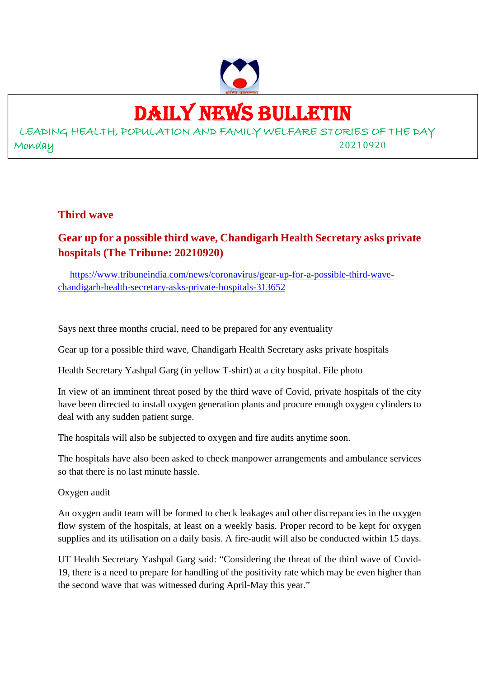

# DAILY NEWS BULLETIN

LEADING HEALTH, POPULATION AND FAMILY WELFARE STORIES OF THE DAY Monday 20210920

#### **Third wave**

## **Gear up for a possible third wave, Chandigarh Health Secretary asks private hospitals (The Tribune: 20210920)**

https://www.tribuneindia.com/news/coronavirus/gear-up-for-a-possible-third-wavechandigarh-health-secretary-asks-private-hospitals-313652

Says next three months crucial, need to be prepared for any eventuality

Gear up for a possible third wave, Chandigarh Health Secretary asks private hospitals

Health Secretary Yashpal Garg (in yellow T-shirt) at a city hospital. File photo

In view of an imminent threat posed by the third wave of Covid, private hospitals of the city have been directed to install oxygen generation plants and procure enough oxygen cylinders to deal with any sudden patient surge.

The hospitals will also be subjected to oxygen and fire audits anytime soon.

The hospitals have also been asked to check manpower arrangements and ambulance services so that there is no last minute hassle.

Oxygen audit

An oxygen audit team will be formed to check leakages and other discrepancies in the oxygen flow system of the hospitals, at least on a weekly basis. Proper record to be kept for oxygen supplies and its utilisation on a daily basis. A fire-audit will also be conducted within 15 days.

UT Health Secretary Yashpal Garg said: "Considering the threat of the third wave of Covid-19, there is a need to prepare for handling of the positivity rate which may be even higher than the second wave that was witnessed during April-May this year."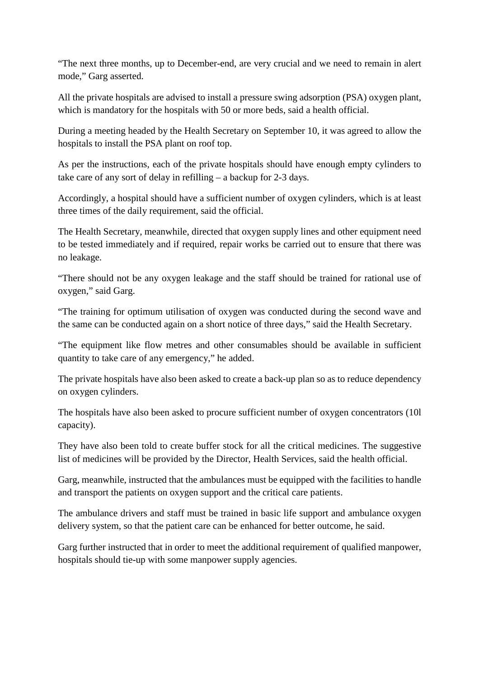"The next three months, up to December-end, are very crucial and we need to remain in alert mode," Garg asserted.

All the private hospitals are advised to install a pressure swing adsorption (PSA) oxygen plant, which is mandatory for the hospitals with 50 or more beds, said a health official.

During a meeting headed by the Health Secretary on September 10, it was agreed to allow the hospitals to install the PSA plant on roof top.

As per the instructions, each of the private hospitals should have enough empty cylinders to take care of any sort of delay in refilling – a backup for 2-3 days.

Accordingly, a hospital should have a sufficient number of oxygen cylinders, which is at least three times of the daily requirement, said the official.

The Health Secretary, meanwhile, directed that oxygen supply lines and other equipment need to be tested immediately and if required, repair works be carried out to ensure that there was no leakage.

"There should not be any oxygen leakage and the staff should be trained for rational use of oxygen," said Garg.

"The training for optimum utilisation of oxygen was conducted during the second wave and the same can be conducted again on a short notice of three days," said the Health Secretary.

"The equipment like flow metres and other consumables should be available in sufficient quantity to take care of any emergency," he added.

The private hospitals have also been asked to create a back-up plan so as to reduce dependency on oxygen cylinders.

The hospitals have also been asked to procure sufficient number of oxygen concentrators (10l capacity).

They have also been told to create buffer stock for all the critical medicines. The suggestive list of medicines will be provided by the Director, Health Services, said the health official.

Garg, meanwhile, instructed that the ambulances must be equipped with the facilities to handle and transport the patients on oxygen support and the critical care patients.

The ambulance drivers and staff must be trained in basic life support and ambulance oxygen delivery system, so that the patient care can be enhanced for better outcome, he said.

Garg further instructed that in order to meet the additional requirement of qualified manpower, hospitals should tie-up with some manpower supply agencies.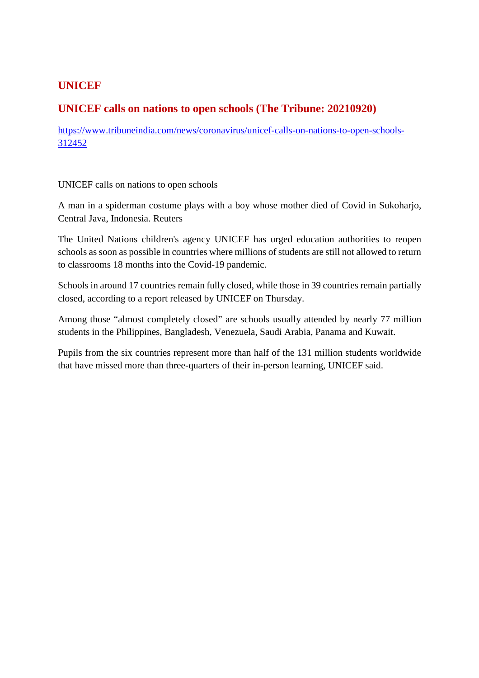#### **UNICEF**

#### **UNICEF calls on nations to open schools (The Tribune: 20210920)**

https://www.tribuneindia.com/news/coronavirus/unicef-calls-on-nations-to-open-schools-312452

UNICEF calls on nations to open schools

A man in a spiderman costume plays with a boy whose mother died of Covid in Sukoharjo, Central Java, Indonesia. Reuters

The United Nations children's agency UNICEF has urged education authorities to reopen schools as soon as possible in countries where millions of students are still not allowed to return to classrooms 18 months into the Covid-19 pandemic.

Schools in around 17 countries remain fully closed, while those in 39 countries remain partially closed, according to a report released by UNICEF on Thursday.

Among those "almost completely closed" are schools usually attended by nearly 77 million students in the Philippines, Bangladesh, Venezuela, Saudi Arabia, Panama and Kuwait.

Pupils from the six countries represent more than half of the 131 million students worldwide that have missed more than three-quarters of their in-person learning, UNICEF said.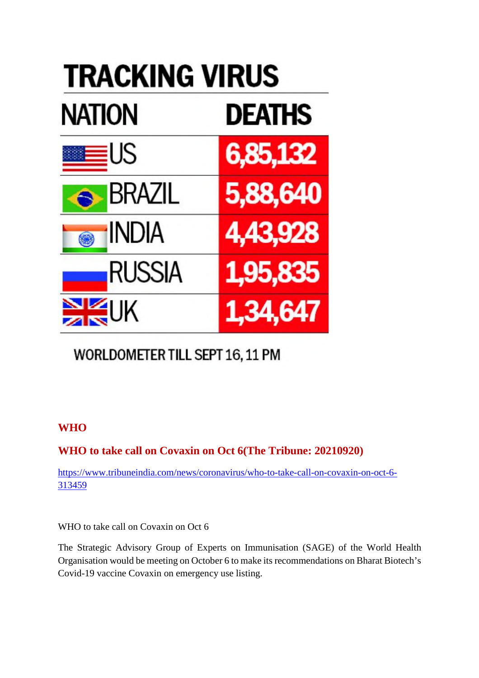

## WORLDOMETER TILL SEPT 16, 11 PM

## **WHO**

## **WHO to take call on Covaxin on Oct 6(The Tribune: 20210920)**

https://www.tribuneindia.com/news/coronavirus/who-to-take-call-on-covaxin-on-oct-6- 313459

WHO to take call on Covaxin on Oct 6

The Strategic Advisory Group of Experts on Immunisation (SAGE) of the World Health Organisation would be meeting on October 6 to make its recommendations on Bharat Biotech's Covid-19 vaccine Covaxin on emergency use listing.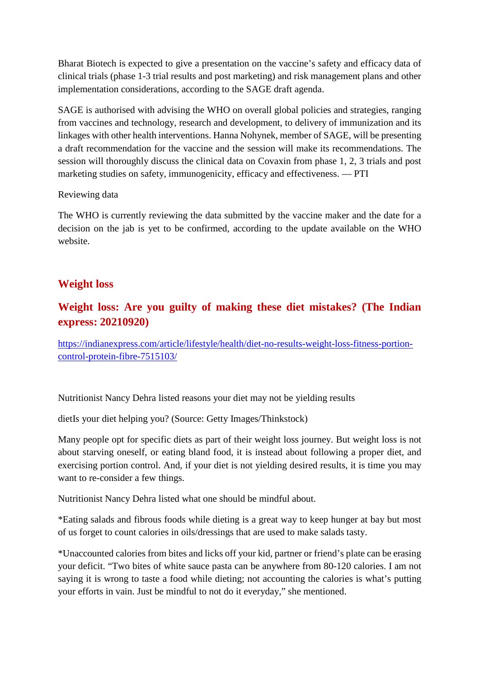Bharat Biotech is expected to give a presentation on the vaccine's safety and efficacy data of clinical trials (phase 1-3 trial results and post marketing) and risk management plans and other implementation considerations, according to the SAGE draft agenda.

SAGE is authorised with advising the WHO on overall global policies and strategies, ranging from vaccines and technology, research and development, to delivery of immunization and its linkages with other health interventions. Hanna Nohynek, member of SAGE, will be presenting a draft recommendation for the vaccine and the session will make its recommendations. The session will thoroughly discuss the clinical data on Covaxin from phase 1, 2, 3 trials and post marketing studies on safety, immunogenicity, efficacy and effectiveness. — PTI

#### Reviewing data

The WHO is currently reviewing the data submitted by the vaccine maker and the date for a decision on the jab is yet to be confirmed, according to the update available on the WHO website.

#### **Weight loss**

## **Weight loss: Are you guilty of making these diet mistakes? (The Indian express: 20210920)**

https://indianexpress.com/article/lifestyle/health/diet-no-results-weight-loss-fitness-portioncontrol-protein-fibre-7515103/

Nutritionist Nancy Dehra listed reasons your diet may not be yielding results

dietIs your diet helping you? (Source: Getty Images/Thinkstock)

Many people opt for specific diets as part of their weight loss journey. But weight loss is not about starving oneself, or eating bland food, it is instead about following a proper diet, and exercising portion control. And, if your diet is not yielding desired results, it is time you may want to re-consider a few things.

Nutritionist Nancy Dehra listed what one should be mindful about.

\*Eating salads and fibrous foods while dieting is a great way to keep hunger at bay but most of us forget to count calories in oils/dressings that are used to make salads tasty.

\*Unaccounted calories from bites and licks off your kid, partner or friend's plate can be erasing your deficit. "Two bites of white sauce pasta can be anywhere from 80-120 calories. I am not saying it is wrong to taste a food while dieting; not accounting the calories is what's putting your efforts in vain. Just be mindful to not do it everyday," she mentioned.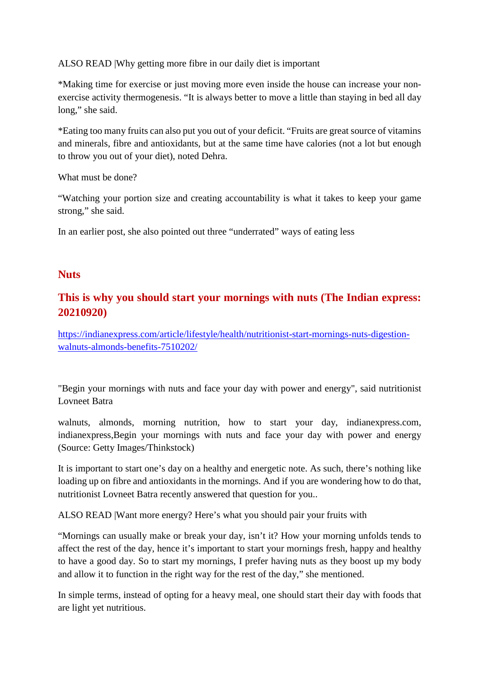ALSO READ |Why getting more fibre in our daily diet is important

\*Making time for exercise or just moving more even inside the house can increase your nonexercise activity thermogenesis. "It is always better to move a little than staying in bed all day long," she said.

\*Eating too many fruits can also put you out of your deficit. "Fruits are great source of vitamins and minerals, fibre and antioxidants, but at the same time have calories (not a lot but enough to throw you out of your diet), noted Dehra.

What must be done?

"Watching your portion size and creating accountability is what it takes to keep your game strong," she said.

In an earlier post, she also pointed out three "underrated" ways of eating less

#### **Nuts**

#### **This is why you should start your mornings with nuts (The Indian express: 20210920)**

https://indianexpress.com/article/lifestyle/health/nutritionist-start-mornings-nuts-digestionwalnuts-almonds-benefits-7510202/

"Begin your mornings with nuts and face your day with power and energy", said nutritionist Lovneet Batra

walnuts, almonds, morning nutrition, how to start your day, indianexpress.com, indianexpress,Begin your mornings with nuts and face your day with power and energy (Source: Getty Images/Thinkstock)

It is important to start one's day on a healthy and energetic note. As such, there's nothing like loading up on fibre and antioxidants in the mornings. And if you are wondering how to do that, nutritionist Lovneet Batra recently answered that question for you..

ALSO READ |Want more energy? Here's what you should pair your fruits with

"Mornings can usually make or break your day, isn't it? How your morning unfolds tends to affect the rest of the day, hence it's important to start your mornings fresh, happy and healthy to have a good day. So to start my mornings, I prefer having nuts as they boost up my body and allow it to function in the right way for the rest of the day," she mentioned.

In simple terms, instead of opting for a heavy meal, one should start their day with foods that are light yet nutritious.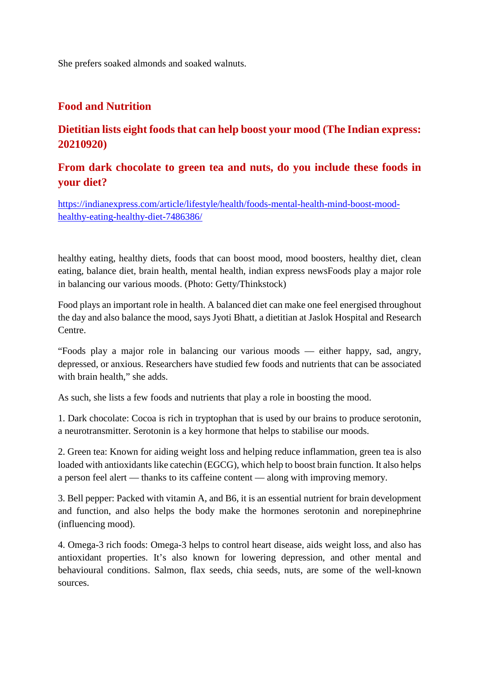She prefers soaked almonds and soaked walnuts.

### **Food and Nutrition**

## **Dietitian lists eight foods that can help boost your mood (The Indian express: 20210920)**

## **From dark chocolate to green tea and nuts, do you include these foods in your diet?**

https://indianexpress.com/article/lifestyle/health/foods-mental-health-mind-boost-moodhealthy-eating-healthy-diet-7486386/

healthy eating, healthy diets, foods that can boost mood, mood boosters, healthy diet, clean eating, balance diet, brain health, mental health, indian express newsFoods play a major role in balancing our various moods. (Photo: Getty/Thinkstock)

Food plays an important role in health. A balanced diet can make one feel energised throughout the day and also balance the mood, says Jyoti Bhatt, a dietitian at Jaslok Hospital and Research Centre.

"Foods play a major role in balancing our various moods — either happy, sad, angry, depressed, or anxious. Researchers have studied few foods and nutrients that can be associated with brain health," she adds.

As such, she lists a few foods and nutrients that play a role in boosting the mood.

1. Dark chocolate: Cocoa is rich in tryptophan that is used by our brains to produce serotonin, a neurotransmitter. Serotonin is a key hormone that helps to stabilise our moods.

2. Green tea: Known for aiding weight loss and helping reduce inflammation, green tea is also loaded with antioxidants like catechin (EGCG), which help to boost brain function. It also helps a person feel alert — thanks to its caffeine content — along with improving memory.

3. Bell pepper: Packed with vitamin A, and B6, it is an essential nutrient for brain development and function, and also helps the body make the hormones serotonin and norepinephrine (influencing mood).

4. Omega-3 rich foods: Omega-3 helps to control heart disease, aids weight loss, and also has antioxidant properties. It's also known for lowering depression, and other mental and behavioural conditions. Salmon, flax seeds, chia seeds, nuts, are some of the well-known sources.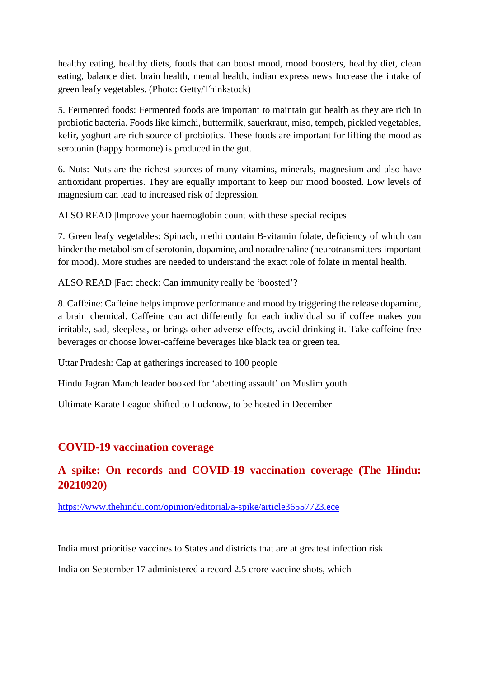healthy eating, healthy diets, foods that can boost mood, mood boosters, healthy diet, clean eating, balance diet, brain health, mental health, indian express news Increase the intake of green leafy vegetables. (Photo: Getty/Thinkstock)

5. Fermented foods: Fermented foods are important to maintain gut health as they are rich in probiotic bacteria. Foods like kimchi, buttermilk, sauerkraut, miso, tempeh, pickled vegetables, kefir, yoghurt are rich source of probiotics. These foods are important for lifting the mood as serotonin (happy hormone) is produced in the gut.

6. Nuts: Nuts are the richest sources of many vitamins, minerals, magnesium and also have antioxidant properties. They are equally important to keep our mood boosted. Low levels of magnesium can lead to increased risk of depression.

ALSO READ |Improve your haemoglobin count with these special recipes

7. Green leafy vegetables: Spinach, methi contain B-vitamin folate, deficiency of which can hinder the metabolism of serotonin, dopamine, and noradrenaline (neurotransmitters important for mood). More studies are needed to understand the exact role of folate in mental health.

ALSO READ |Fact check: Can immunity really be 'boosted'?

8. Caffeine: Caffeine helps improve performance and mood by triggering the release dopamine, a brain chemical. Caffeine can act differently for each individual so if coffee makes you irritable, sad, sleepless, or brings other adverse effects, avoid drinking it. Take caffeine-free beverages or choose lower-caffeine beverages like black tea or green tea.

Uttar Pradesh: Cap at gatherings increased to 100 people

Hindu Jagran Manch leader booked for 'abetting assault' on Muslim youth

Ultimate Karate League shifted to Lucknow, to be hosted in December

#### **COVID-19 vaccination coverage**

## **A spike: On records and COVID-19 vaccination coverage (The Hindu: 20210920)**

https://www.thehindu.com/opinion/editorial/a-spike/article36557723.ece

India must prioritise vaccines to States and districts that are at greatest infection risk

India on September 17 administered a record 2.5 crore vaccine shots, which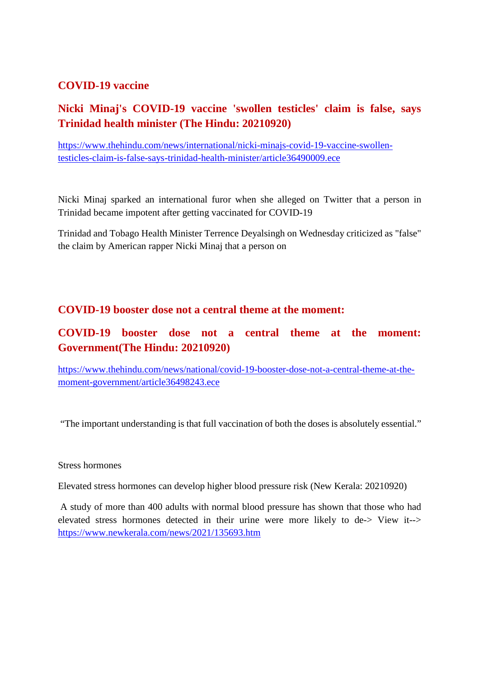#### **COVID-19 vaccine**

## **Nicki Minaj's COVID-19 vaccine 'swollen testicles' claim is false, says Trinidad health minister (The Hindu: 20210920)**

https://www.thehindu.com/news/international/nicki-minajs-covid-19-vaccine-swollentesticles-claim-is-false-says-trinidad-health-minister/article36490009.ece

Nicki Minaj sparked an international furor when she alleged on Twitter that a person in Trinidad became impotent after getting vaccinated for COVID-19

Trinidad and Tobago Health Minister Terrence Deyalsingh on Wednesday criticized as "false" the claim by American rapper Nicki Minaj that a person on

#### **COVID-19 booster dose not a central theme at the moment:**

## **COVID-19 booster dose not a central theme at the moment: Government(The Hindu: 20210920)**

https://www.thehindu.com/news/national/covid-19-booster-dose-not-a-central-theme-at-themoment-government/article36498243.ece

"The important understanding is that full vaccination of both the doses is absolutely essential."

#### Stress hormones

Elevated stress hormones can develop higher blood pressure risk (New Kerala: 20210920)

A study of more than 400 adults with normal blood pressure has shown that those who had elevated stress hormones detected in their urine were more likely to de-> View it--> https://www.newkerala.com/news/2021/135693.htm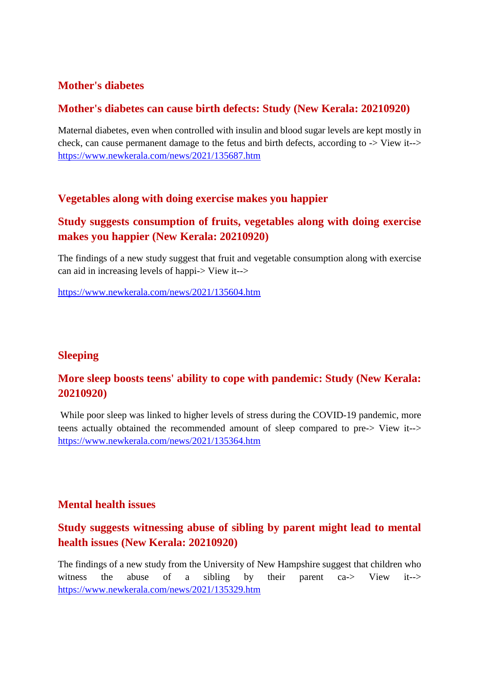#### **Mother's diabetes**

#### **Mother's diabetes can cause birth defects: Study (New Kerala: 20210920)**

Maternal diabetes, even when controlled with insulin and blood sugar levels are kept mostly in check, can cause permanent damage to the fetus and birth defects, according to -> View it--> https://www.newkerala.com/news/2021/135687.htm

#### **Vegetables along with doing exercise makes you happier**

## **Study suggests consumption of fruits, vegetables along with doing exercise makes you happier (New Kerala: 20210920)**

The findings of a new study suggest that fruit and vegetable consumption along with exercise can aid in increasing levels of happi-> View it-->

https://www.newkerala.com/news/2021/135604.htm

#### **Sleeping**

## **More sleep boosts teens' ability to cope with pandemic: Study (New Kerala: 20210920)**

While poor sleep was linked to higher levels of stress during the COVID-19 pandemic, more teens actually obtained the recommended amount of sleep compared to pre-> View it--> https://www.newkerala.com/news/2021/135364.htm

#### **Mental health issues**

## **Study suggests witnessing abuse of sibling by parent might lead to mental health issues (New Kerala: 20210920)**

The findings of a new study from the University of New Hampshire suggest that children who witness the abuse of a sibling by their parent ca-> View it--> https://www.newkerala.com/news/2021/135329.htm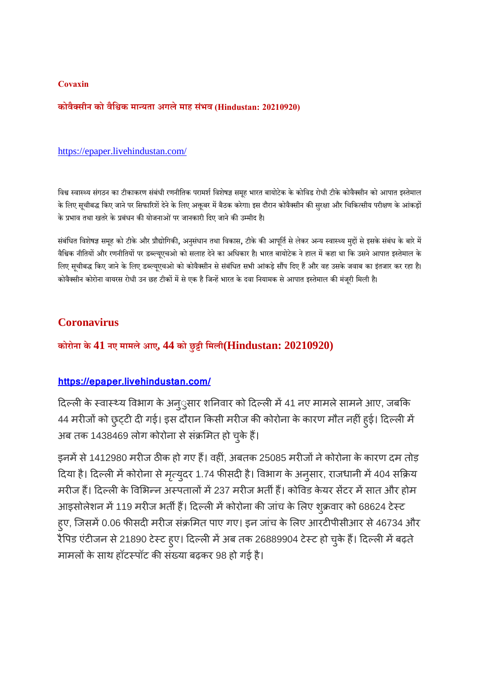#### **Covaxin**

#### **कोवैसीन को वैिक मायता अगलेमाह सभं व (Hindustan: 20210920)**

#### https://epaper.livehindustan.com/

विश्व स्वास्थ्य संगठन का टीकाकरण संबंधी रणनीतिक परामर्श विशेषज्ञ समूह भारत बायोटेक के कोविड रोधी टीके कोवैक्सीन को आपात इस्तेमाल के लिए सूचीबद्ध किए जाने पर सिफारिशें देने के लिए अक्तूबर में बैठक करेगा। इस दौरान कोवैक्सीन की सुरक्षा और चिकित्सीय परीक्षण के आंकड़ों के प्रभाव तथा खतरे के प्रबंधन की योजनाओं पर जानकारी दिए जाने की उम्मीद है।

संबंधित विशेषज्ञ समूह को टीके और प्रौद्योगिकी, अनुसंधान तथा विकास, टीके की आपूर्ति से लेकर अन्य स्वास्थ्य मुद्दों से इसके संबंध के बारे में वैश्विक नीतियों और रणनीतियों पर डब्ल्यूएचओ को सलाह देने का अधिकार है। भारत बायोटेक ने हाल में कहा था कि उसने आपात इस्तेमाल के लिए सूचीबद्ध किए जाने के लिए डब्ल्यूएचओ को कोवैक्सीन से संबंधित सभी आंकड़े सौंप दिए हैं और वह उसके जवाब का इंतजार कर रहा है। कोवैक्सीन कोरोना वायरस रोधी उन छह टीकों में से एक है जिन्हें भारत के दवा नियामक से आपात इस्तेमाल की मंजूरी मिली है।

#### **Coronavirus**

**कोरोना के 41 नए मामलेआए, 44 को छुी िमली(Hindustan: 20210920)**

#### **https://epaper.livehindustan.com/**

दिल्ली के स्वास्थ्य विभाग के अन्ुसार शनिवार को दिल्ली में 41 नए मामले सामने आए, जबकि 44 मरीजों को छुट्टी दी गई। इस दौरान किसी मरीज की कोरोना के कारण मौत नहीं हुई। दिल्ली में अब तक 1438469 लोग कोरोना से संक्रमित हो चुके हैं।

इनमें से 1412980 मरीज ठीक हो गए हैं। वहीं, अबतक 25085 मरीजों ने कोरोना के कारण दम तोड़ दिया है। दिल्ली में कोरोना से मृत्युदर 1.74 फीसदी है। विभाग के अनुसार, राजधानी में 404 सक्रिय मरीज हैं। दिल्ली के विभिन्न अस्पतालों में 237 मरीज भर्ती हैं। कोविड केयर सेंटर में सात और होम आइसोलेशन में 119 मरीज भर्ती हैं। दिल्ली में कोरोना की जांच के लिए शुक्रवार को 68624 टेस्ट हुए, जिसमें 0.06 फीसदी मरीज संक्रमित पाए गए। इन जांच के लिए आरटीपीसीआर से 46734 और रैपिड एंटीजन से 21890 टेस्ट हुए। दिल्ली में अब तक 26889904 टेस्ट हो चुके हैं। दिल्ली में बढ़ते मामलों के साथ हॉटस्पॉट की संख्या बढ़कर 98 हो गई है।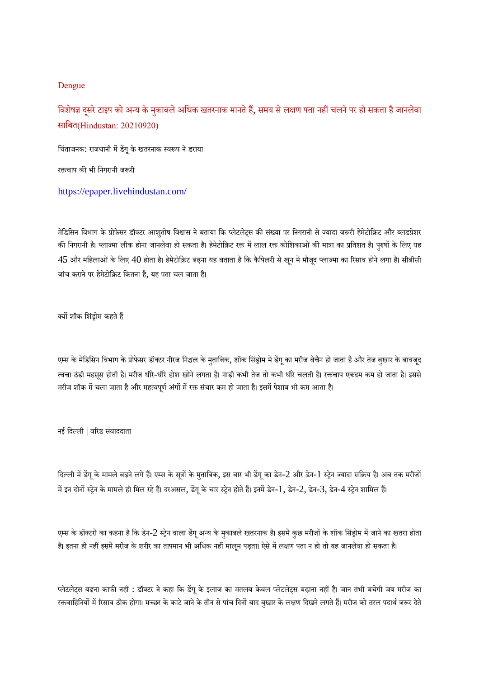#### Dengue

विशेषज्ञ दूसरे टाइप को अन्य के मुकाबले अधिक खतरनाक मानते हैं, समय से लक्षण पता नहीं चलने पर हो सकता है जानलेवा सािबत(Hindustan: 20210920)

चिंताजनक: राजधानी में डेंगू के खतरनाक स्वरूप ने डराया

रक्तचाप की भी निगरानी जरूरी

https://epaper.livehindustan.com/

मेडिसिन विभाग के प्रोफेसर डॉक्टर आशुतोष विश्वास ने बताया कि प्लेटलेट्स की संख्या पर निगरानी से ज्यादा जरूरी हेमेटोक्रिट और ब्लडप्रेशर की निगरानी है। प्लाज्मा लीक होना जानलेवा हो सकता है। हेमेटोक्रिट रक्त में लाल रक्त कोशिकाओं की मात्रा का प्रतिशत है। पुरुषों के लिए यह  $45$  और महिलाओं के लिए  $40$  होता है। हेमेटोक्रिट बढ़ना यह बताता है कि कैपिलरी से खून में मौजुद प्लाज्मा का रिसाव होने लगा है। सीबीसी जांच कराने पर हेमेटोक्रिट कितना है, यह पता चल जाता है।

क्यों शॉक शिंड्रोम कहते हैं

एम्स के मेडिसिन विभाग के प्रोफेसर डॉक्टर नीरज निश्चल के मुताबिक, शॉक सिंड्रोम में डेंगू का मरीज बेचैन हो जाता है और तेज बुखार के बावजूद त्वचा ठंडी महसूस होती है। मरीज धीरे-धीरे होश खोने लगता है। नाड़ी कभी तेज तो कभी धीरे चलती है। रक्तचाप एकदम कम हो जाता है। इससे मरीज शॉक में चला जाता है और महत्वपूर्ण अंगों में रक्त संचार कम हो जाता है। इसमें पेशाब भी कम आता है।

नई िदली | वरसंवाददाता

दिल्ली में डेंगू के मामले बढ़ने लगे हैं। एम्स के सूत्रों के मुताबिक, इस बार भी डेंगू का डेन-2 और डेन-1 स्ट्रेन ज्यादा सक्रिय है। अब तक मरीजों में इन दोनों स्ट्रेन के मामले ही मिल रहे हैं। दरअसल, डेंगू के चार स्ट्रेन होते हैं। इनमें डेन-1, डेन-2, डेन-3, डेन-4 स्ट्रेन शामिल हैं।

एम्स के डॉक्टरों का कहना है कि डेन-2 स्ट्रेन वाला डेंगू अन्य के मुकाबले खतरनाक है। इसमें कुछ मरीजों के शॉक सिंड्रोम में जाने का खतरा होता है। इतना ही नहीं इसमें मरीज के शरीर का तापमान भी अधिक नहीं मालूम पड़ता। ऐसे में लक्षण पता न हो तो यह जानलेवा हो सकता है।

प्लेटलेट्स बढ़ना काफी नहीं : डॉक्टर ने कहा कि डेंगू के इलाज का मतलब केवल प्लेटलेट्स बढ़ाना नहीं है। जान तभी बचेगी जब मरीज का रक्तवाहिनियों में रिसाव ठीक होगा। मच्छर के काटे जाने के तीन से पांच दिनों बाद बुखार के लक्षण दिखने लगते हैं। मरीज को तरल पदार्थ जरूर देते